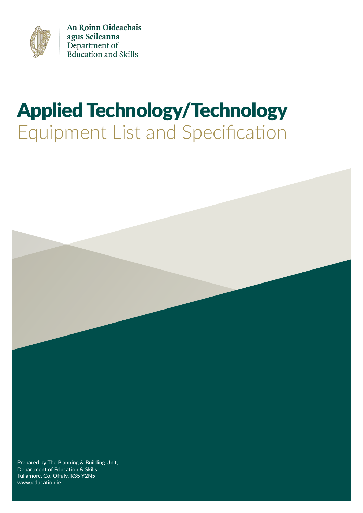

An Roinn Oideachais agus Scileanna Department of<br>Education and Skills

# Applied Technology/Technology Equipment List and Specification



Tullamore, Co. Offaly. R35 Y2N5 www.education.ie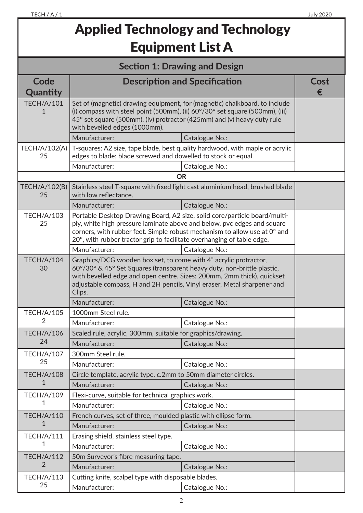## Applied Technology and Technology Equipment List A

| <b>Section 1: Drawing and Design</b> |                                                                                                                                                                                                                                                                                                             |                                                                              |           |
|--------------------------------------|-------------------------------------------------------------------------------------------------------------------------------------------------------------------------------------------------------------------------------------------------------------------------------------------------------------|------------------------------------------------------------------------------|-----------|
| Code<br>Quantity                     |                                                                                                                                                                                                                                                                                                             | <b>Description and Specification</b>                                         | Cost<br>€ |
| <b>TECH/A/101</b><br>1               | Set of (magnetic) drawing equipment, for (magnetic) chalkboard, to include<br>(i) compass with steel point (500mm), (ii) $60^{\circ}/30^{\circ}$ set square (500mm), (iii)<br>45° set square (500mm), (iv) protractor (425mm) and (v) heavy duty rule<br>with bevelled edges (1000mm).                      |                                                                              |           |
|                                      | Manufacturer:                                                                                                                                                                                                                                                                                               | Catalogue No.:                                                               |           |
| <b>TECH/A/102(A)</b><br>25           | edges to blade; blade screwed and dowelled to stock or equal.                                                                                                                                                                                                                                               | T-squares: A2 size, tape blade, best quality hardwood, with maple or acrylic |           |
|                                      | Manufacturer:                                                                                                                                                                                                                                                                                               | Catalogue No.:                                                               |           |
|                                      |                                                                                                                                                                                                                                                                                                             | <b>OR</b>                                                                    |           |
| TECH/A/102(B)<br>25                  | with low reflectance.                                                                                                                                                                                                                                                                                       | Stainless steel T-square with fixed light cast aluminium head, brushed blade |           |
|                                      | Manufacturer:                                                                                                                                                                                                                                                                                               | Catalogue No.:                                                               |           |
| <b>TECH/A/103</b><br>25              | Portable Desktop Drawing Board, A2 size, solid core/particle board/multi-<br>ply, white high pressure laminate above and below, pvc edges and square<br>corners, with rubber feet. Simple robust mechanism to allow use at 0° and<br>20°, with rubber tractor grip to facilitate overhanging of table edge. |                                                                              |           |
|                                      | Manufacturer:                                                                                                                                                                                                                                                                                               | Catalogue No.:                                                               |           |
| <b>TECH/A/104</b><br>30              | Graphics/DCG wooden box set, to come with 4" acrylic protractor,<br>60°/30° & 45° Set Squares (transparent heavy duty, non-brittle plastic,<br>with bevelled edge and open centre. Sizes: 200mm, 2mm thick), quickset<br>adjustable compass, H and 2H pencils, Vinyl eraser, Metal sharpener and<br>Clips.  |                                                                              |           |
|                                      | Manufacturer:                                                                                                                                                                                                                                                                                               | Catalogue No.:                                                               |           |
| <b>TECH/A/105</b>                    | 1000mm Steel rule.                                                                                                                                                                                                                                                                                          |                                                                              |           |
| 2                                    | Manufacturer:                                                                                                                                                                                                                                                                                               | Catalogue No.:                                                               |           |
| <b>TECH/A/106</b>                    | Scaled rule, acrylic, 300mm, suitable for graphics/drawing.                                                                                                                                                                                                                                                 |                                                                              |           |
| 24                                   | Manufacturer:                                                                                                                                                                                                                                                                                               | Catalogue No.:                                                               |           |
| <b>TECH/A/107</b>                    | 300mm Steel rule.                                                                                                                                                                                                                                                                                           |                                                                              |           |
| 25                                   | Manufacturer:                                                                                                                                                                                                                                                                                               | Catalogue No.:                                                               |           |
| <b>TECH/A/108</b>                    | Circle template, acrylic type, c.2mm to 50mm diameter circles.                                                                                                                                                                                                                                              |                                                                              |           |
| 1                                    | Manufacturer:                                                                                                                                                                                                                                                                                               | Catalogue No.:                                                               |           |
| <b>TECH/A/109</b>                    | Flexi-curve, suitable for technical graphics work.                                                                                                                                                                                                                                                          |                                                                              |           |
| 1                                    | Manufacturer:                                                                                                                                                                                                                                                                                               | Catalogue No.:                                                               |           |
| <b>TECH/A/110</b>                    | French curves, set of three, moulded plastic with ellipse form.                                                                                                                                                                                                                                             |                                                                              |           |
| 1                                    | Manufacturer:                                                                                                                                                                                                                                                                                               | Catalogue No.:                                                               |           |
| <b>TECH/A/111</b>                    | Erasing shield, stainless steel type.                                                                                                                                                                                                                                                                       |                                                                              |           |
| 1                                    | Manufacturer:                                                                                                                                                                                                                                                                                               | Catalogue No.:                                                               |           |
| <b>TECH/A/112</b>                    | 50m Surveyor's fibre measuring tape.                                                                                                                                                                                                                                                                        |                                                                              |           |
| $\overline{2}$                       | Manufacturer:                                                                                                                                                                                                                                                                                               | Catalogue No.:                                                               |           |
| <b>TECH/A/113</b>                    | Cutting knife, scalpel type with disposable blades.                                                                                                                                                                                                                                                         |                                                                              |           |
| 25                                   | Manufacturer:                                                                                                                                                                                                                                                                                               | Catalogue No.:                                                               |           |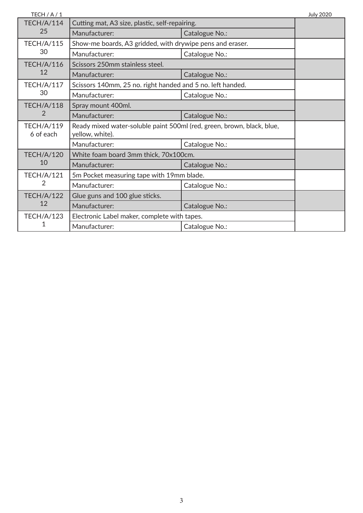| TECH $/$ A $/$ 1               |                                                                                           |                | <b>July 2020</b> |
|--------------------------------|-------------------------------------------------------------------------------------------|----------------|------------------|
| <b>TECH/A/114</b>              | Cutting mat, A3 size, plastic, self-repairing.                                            |                |                  |
| 25                             | Manufacturer:                                                                             | Catalogue No.: |                  |
| <b>TECH/A/115</b>              | Show-me boards, A3 gridded, with drywipe pens and eraser.                                 |                |                  |
| 30                             | Manufacturer:                                                                             | Catalogue No.: |                  |
| <b>TECH/A/116</b>              | Scissors 250mm stainless steel.                                                           |                |                  |
| 12                             | Manufacturer:                                                                             | Catalogue No.: |                  |
| TECH/A/117                     | Scissors 140mm, 25 no. right handed and 5 no. left handed.                                |                |                  |
| 30                             | Manufacturer:                                                                             | Catalogue No.: |                  |
| <b>TECH/A/118</b>              | Spray mount 400ml.                                                                        |                |                  |
| 2                              | Manufacturer:                                                                             | Catalogue No.: |                  |
| <b>TECH/A/119</b><br>6 of each | Ready mixed water-soluble paint 500ml (red, green, brown, black, blue,<br>yellow, white). |                |                  |
|                                | Manufacturer:                                                                             | Catalogue No.: |                  |
| <b>TECH/A/120</b>              | White foam board 3mm thick, 70x100cm.                                                     |                |                  |
| 10                             | Manufacturer:                                                                             | Catalogue No.: |                  |
| <b>TECH/A/121</b>              | 5m Pocket measuring tape with 19mm blade.                                                 |                |                  |
| $\overline{2}$                 | Manufacturer:                                                                             | Catalogue No.: |                  |
| <b>TECH/A/122</b>              | Glue guns and 100 glue sticks.                                                            |                |                  |
| 12                             | Manufacturer:                                                                             | Catalogue No.: |                  |
| <b>TECH/A/123</b>              | Electronic Label maker, complete with tapes.                                              |                |                  |
| 1                              | Manufacturer:                                                                             | Catalogue No.: |                  |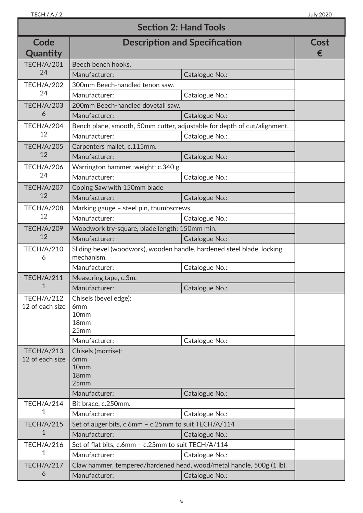| <b>Section 2: Hand Tools</b>         |                                                                                          |                |           |
|--------------------------------------|------------------------------------------------------------------------------------------|----------------|-----------|
| Code<br>Quantity                     | <b>Description and Specification</b>                                                     |                | Cost<br>€ |
| <b>TECH/A/201</b>                    | Beech bench hooks.                                                                       |                |           |
| 24                                   | Manufacturer:                                                                            | Catalogue No.: |           |
| <b>TECH/A/202</b>                    | 300mm Beech-handled tenon saw.                                                           |                |           |
| 24                                   | Manufacturer:                                                                            | Catalogue No.: |           |
| <b>TECH/A/203</b>                    | 200mm Beech-handled dovetail saw.                                                        |                |           |
| 6                                    | Manufacturer:                                                                            | Catalogue No.: |           |
| <b>TECH/A/204</b>                    | Bench plane, smooth, 50mm cutter, adjustable for depth of cut/alignment.                 |                |           |
| 12                                   | Manufacturer:                                                                            | Catalogue No.: |           |
| <b>TECH/A/205</b>                    | Carpenters mallet, c.115mm.                                                              |                |           |
| 12                                   | Manufacturer:                                                                            | Catalogue No.: |           |
| <b>TECH/A/206</b>                    | Warrington hammer, weight: c.340 g.                                                      |                |           |
| 24                                   | Manufacturer:                                                                            | Catalogue No.: |           |
| <b>TECH/A/207</b>                    | Coping Saw with 150mm blade                                                              |                |           |
| 12                                   | Manufacturer:                                                                            | Catalogue No.: |           |
| <b>TECH/A/208</b>                    | Marking gauge - steel pin, thumbscrews                                                   |                |           |
| 12                                   | Manufacturer:                                                                            | Catalogue No.: |           |
| <b>TECH/A/209</b>                    | Woodwork try-square, blade length: 150mm min.                                            |                |           |
| 12                                   | Manufacturer:                                                                            | Catalogue No.: |           |
| <b>TECH/A/210</b><br>6               | Sliding bevel (woodwork), wooden handle, hardened steel blade, locking<br>mechanism.     |                |           |
|                                      | Manufacturer:                                                                            | Catalogue No.: |           |
| <b>TECH/A/211</b>                    | Measuring tape, c.3m.                                                                    |                |           |
| 1                                    | Manufacturer:                                                                            | Catalogue No.: |           |
| <b>TECH/A/212</b><br>12 of each size | Chisels (bevel edge):<br>6 <sub>mm</sub><br>10 <sub>mm</sub><br>18 <sub>mm</sub><br>25mm |                |           |
|                                      | Manufacturer:                                                                            | Catalogue No.: |           |
| <b>TECH/A/213</b><br>12 of each size | Chisels (mortise):<br>6 <sub>mm</sub><br>10 <sub>mm</sub><br>18 <sub>mm</sub><br>25mm    |                |           |
|                                      | Manufacturer:                                                                            | Catalogue No.: |           |
| TECH/A/214                           | Bit brace, c.250mm.                                                                      |                |           |
| 1                                    | Manufacturer:                                                                            | Catalogue No.: |           |
| <b>TECH/A/215</b>                    | Set of auger bits, c.6mm - c.25mm to suit TECH/A/114                                     |                |           |
| 1                                    | Manufacturer:                                                                            | Catalogue No.: |           |
| <b>TECH/A/216</b>                    | Set of flat bits, c.6mm - c.25mm to suit TECH/A/114                                      |                |           |
| 1                                    | Manufacturer:                                                                            | Catalogue No.: |           |
| <b>TECH/A/217</b>                    | Claw hammer, tempered/hardened head, wood/metal handle, 500g (1 lb).                     |                |           |
| 6                                    | Manufacturer:                                                                            | Catalogue No.: |           |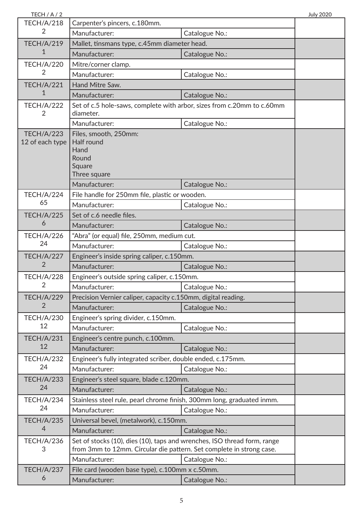| TECH / A / 2      |                                                                                                                                                  |                | <b>July 2020</b> |
|-------------------|--------------------------------------------------------------------------------------------------------------------------------------------------|----------------|------------------|
| <b>TECH/A/218</b> | Carpenter's pincers, c.180mm.                                                                                                                    |                |                  |
| 2                 | Manufacturer:                                                                                                                                    | Catalogue No.: |                  |
| <b>TECH/A/219</b> | Mallet, tinsmans type, c.45mm diameter head.                                                                                                     |                |                  |
| 1                 | Manufacturer:                                                                                                                                    | Catalogue No.: |                  |
| <b>TECH/A/220</b> | Mitre/corner clamp.                                                                                                                              |                |                  |
| $\overline{2}$    | Manufacturer:                                                                                                                                    | Catalogue No.: |                  |
| <b>TECH/A/221</b> | Hand Mitre Saw.                                                                                                                                  |                |                  |
| 1                 | Manufacturer:                                                                                                                                    | Catalogue No.: |                  |
| <b>TECH/A/222</b> | Set of c.5 hole-saws, complete with arbor, sizes from c.20mm to c.60mm                                                                           |                |                  |
| 2                 | diameter.                                                                                                                                        |                |                  |
|                   | Manufacturer:                                                                                                                                    | Catalogue No.: |                  |
| <b>TECH/A/223</b> | Files, smooth, 250mm:                                                                                                                            |                |                  |
| 12 of each type   | <b>Half round</b>                                                                                                                                |                |                  |
|                   | Hand<br>Round                                                                                                                                    |                |                  |
|                   | Square                                                                                                                                           |                |                  |
|                   | Three square                                                                                                                                     |                |                  |
|                   | Manufacturer:                                                                                                                                    | Catalogue No.: |                  |
| <b>TECH/A/224</b> | File handle for 250mm file, plastic or wooden.                                                                                                   |                |                  |
| 65                | Manufacturer:                                                                                                                                    | Catalogue No.: |                  |
| <b>TECH/A/225</b> | Set of c.6 needle files.                                                                                                                         |                |                  |
| 6                 | Manufacturer:                                                                                                                                    | Catalogue No.: |                  |
| <b>TECH/A/226</b> | "Abra" (or equal) file, 250mm, medium cut.                                                                                                       |                |                  |
| 24                | Manufacturer:                                                                                                                                    | Catalogue No.: |                  |
| <b>TECH/A/227</b> | Engineer's inside spring caliper, c.150mm.                                                                                                       |                |                  |
| 2                 | Manufacturer:                                                                                                                                    | Catalogue No.: |                  |
| <b>TECH/A/228</b> | Engineer's outside spring caliper, c.150mm.                                                                                                      |                |                  |
| 2                 | Manufacturer:                                                                                                                                    | Catalogue No.: |                  |
| <b>TECH/A/229</b> | Precision Vernier caliper, capacity c.150mm, digital reading.                                                                                    |                |                  |
| 2                 | Manufacturer:                                                                                                                                    | Catalogue No.: |                  |
| <b>TECH/A/230</b> | Engineer's spring divider, c.150mm.                                                                                                              |                |                  |
| 12                | Manufacturer:                                                                                                                                    | Catalogue No.: |                  |
| <b>TECH/A/231</b> | Engineer's centre punch, c.100mm.                                                                                                                |                |                  |
| 12                | Manufacturer:                                                                                                                                    | Catalogue No.: |                  |
| <b>TECH/A/232</b> | Engineer's fully integrated scriber, double ended, c.175mm.                                                                                      |                |                  |
| 24                | Manufacturer:                                                                                                                                    | Catalogue No.: |                  |
| <b>TECH/A/233</b> | Engineer's steel square, blade c.120mm.                                                                                                          |                |                  |
| 24                | Manufacturer:                                                                                                                                    | Catalogue No.: |                  |
| <b>TECH/A/234</b> | Stainless steel rule, pearl chrome finish, 300mm long, graduated inmm.                                                                           |                |                  |
| 24                | Manufacturer:                                                                                                                                    | Catalogue No.: |                  |
| <b>TECH/A/235</b> | Universal bevel, (metalwork), c.150mm.                                                                                                           |                |                  |
| 4                 | Manufacturer:                                                                                                                                    | Catalogue No.: |                  |
| <b>TECH/A/236</b> |                                                                                                                                                  |                |                  |
| 3                 | Set of stocks (10), dies (10), taps and wrenches, ISO thread form, range<br>from 3mm to 12mm. Circular die pattern. Set complete in strong case. |                |                  |
|                   | Manufacturer:                                                                                                                                    | Catalogue No.: |                  |
| <b>TECH/A/237</b> | File card (wooden base type), c.100mm x c.50mm.                                                                                                  |                |                  |
| 6                 | Manufacturer:                                                                                                                                    | Catalogue No.: |                  |
|                   |                                                                                                                                                  |                |                  |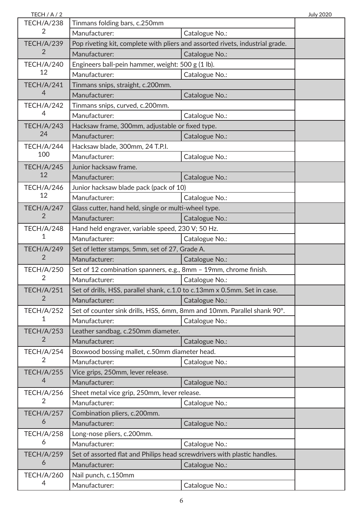| TECH / A / 2      |                                                                               |                | <b>July 2020</b> |
|-------------------|-------------------------------------------------------------------------------|----------------|------------------|
| <b>TECH/A/238</b> | Tinmans folding bars, c.250mm                                                 |                |                  |
| 2                 | Manufacturer:                                                                 | Catalogue No.: |                  |
| <b>TECH/A/239</b> | Pop riveting kit, complete with pliers and assorted rivets, industrial grade. |                |                  |
| 2                 | Manufacturer:                                                                 | Catalogue No.: |                  |
| <b>TECH/A/240</b> | Engineers ball-pein hammer, weight: 500 g (1 lb).                             |                |                  |
| 12                | Manufacturer:                                                                 | Catalogue No.: |                  |
| <b>TECH/A/241</b> | Tinmans snips, straight, c.200mm.                                             |                |                  |
| $\overline{4}$    | Manufacturer:                                                                 | Catalogue No.: |                  |
| <b>TECH/A/242</b> | Tinmans snips, curved, c.200mm.                                               |                |                  |
| 4                 | Manufacturer:                                                                 | Catalogue No.: |                  |
| <b>TECH/A/243</b> | Hacksaw frame, 300mm, adjustable or fixed type.                               |                |                  |
| 24                | Manufacturer:                                                                 | Catalogue No.: |                  |
| TECH/A/244        | Hacksaw blade, 300mm, 24 T.P.I.                                               |                |                  |
| 100               | Manufacturer:                                                                 | Catalogue No.: |                  |
| <b>TECH/A/245</b> | Junior hacksaw frame.                                                         |                |                  |
| 12                | Manufacturer:                                                                 | Catalogue No.: |                  |
| <b>TECH/A/246</b> | Junior hacksaw blade pack (pack of 10)                                        |                |                  |
| 12                | Manufacturer:                                                                 | Catalogue No.: |                  |
| <b>TECH/A/247</b> | Glass cutter, hand held, single or multi-wheel type.                          |                |                  |
| $\overline{2}$    | Manufacturer:                                                                 | Catalogue No.: |                  |
| <b>TECH/A/248</b> | Hand held engraver, variable speed, 230 V; 50 Hz.                             |                |                  |
| 1                 | Manufacturer:                                                                 | Catalogue No.: |                  |
| <b>TECH/A/249</b> | Set of letter stamps, 5mm, set of 27, Grade A.                                |                |                  |
| $\overline{2}$    | Manufacturer:                                                                 | Catalogue No.: |                  |
| <b>TECH/A/250</b> | Set of 12 combination spanners, e.g., 8mm - 19mm, chrome finish.              |                |                  |
| 2                 | Manufacturer:                                                                 | Catalogue No.: |                  |
| <b>TECH/A/251</b> | Set of drills, HSS, parallel shank, c.1.0 to c.13mm x 0.5mm. Set in case.     |                |                  |
| 2                 | Manufacturer:                                                                 | Catalogue No.: |                  |
| <b>TECH/A/252</b> | Set of counter sink drills, HSS, 6mm, 8mm and 10mm. Parallel shank 90°.       |                |                  |
| 1                 | Manufacturer:                                                                 | Catalogue No.: |                  |
| <b>TECH/A/253</b> | Leather sandbag, c.250mm diameter.                                            |                |                  |
| 2                 | Manufacturer:                                                                 | Catalogue No.: |                  |
| <b>TECH/A/254</b> | Boxwood bossing mallet, c.50mm diameter head.                                 |                |                  |
| 2                 | Manufacturer:                                                                 | Catalogue No.: |                  |
| <b>TECH/A/255</b> | Vice grips, 250mm, lever release.                                             |                |                  |
| $\overline{4}$    | Manufacturer:                                                                 | Catalogue No.: |                  |
| <b>TECH/A/256</b> | Sheet metal vice grip, 250mm, lever release.                                  |                |                  |
| 2                 | Manufacturer:                                                                 | Catalogue No.: |                  |
| <b>TECH/A/257</b> | Combination pliers, c.200mm.                                                  |                |                  |
| 6                 | Manufacturer:                                                                 | Catalogue No.: |                  |
| <b>TECH/A/258</b> | Long-nose pliers, c.200mm.                                                    |                |                  |
| 6                 | Manufacturer:                                                                 | Catalogue No.: |                  |
| <b>TECH/A/259</b> | Set of assorted flat and Philips head screwdrivers with plastic handles.      |                |                  |
| 6                 | Manufacturer:                                                                 | Catalogue No.: |                  |
| <b>TECH/A/260</b> | Nail punch, c.150mm                                                           |                |                  |
| 4                 | Manufacturer:                                                                 | Catalogue No.: |                  |
|                   |                                                                               |                |                  |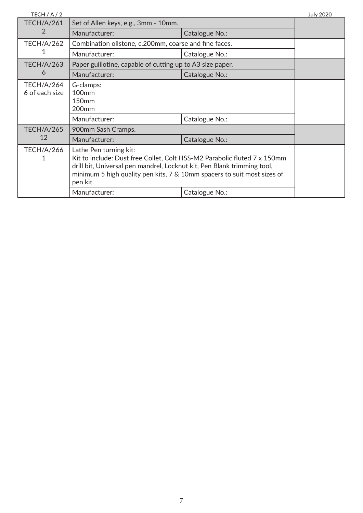| TECH / A / 2                        |                                                                                                                                                                                                                                                                      |                | <b>July 2020</b> |
|-------------------------------------|----------------------------------------------------------------------------------------------------------------------------------------------------------------------------------------------------------------------------------------------------------------------|----------------|------------------|
| <b>TECH/A/261</b>                   | Set of Allen keys, e.g., 3mm - 10mm.                                                                                                                                                                                                                                 |                |                  |
| 2                                   | Manufacturer:                                                                                                                                                                                                                                                        | Catalogue No.: |                  |
| <b>TECH/A/262</b>                   | Combination oilstone, c.200mm, coarse and fine faces.                                                                                                                                                                                                                |                |                  |
|                                     | Manufacturer:                                                                                                                                                                                                                                                        | Catalogue No.: |                  |
| <b>TECH/A/263</b>                   | Paper guillotine, capable of cutting up to A3 size paper.                                                                                                                                                                                                            |                |                  |
| 6                                   | Manufacturer:                                                                                                                                                                                                                                                        | Catalogue No.: |                  |
| <b>TECH/A/264</b><br>6 of each size | G-clamps:<br><b>100mm</b><br>150 <sub>mm</sub><br>200 <sub>mm</sub>                                                                                                                                                                                                  |                |                  |
|                                     | Manufacturer:                                                                                                                                                                                                                                                        | Catalogue No.: |                  |
| <b>TECH/A/265</b>                   | 900mm Sash Cramps.                                                                                                                                                                                                                                                   |                |                  |
| 12                                  | Manufacturer:                                                                                                                                                                                                                                                        | Catalogue No.: |                  |
| <b>TECH/A/266</b><br>1              | Lathe Pen turning kit:<br>Kit to include: Dust free Collet, Colt HSS-M2 Parabolic fluted 7 x 150mm<br>drill bit, Universal pen mandrel, Locknut kit, Pen Blank trimming tool,<br>minimum 5 high quality pen kits, 7 & 10mm spacers to suit most sizes of<br>pen kit. |                |                  |
|                                     | Manufacturer:                                                                                                                                                                                                                                                        | Catalogue No.: |                  |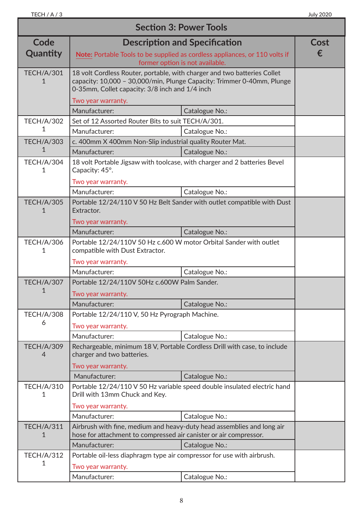| <b>Section 3: Power Tools</b>       |                                                                                                                                             |                                                                                                                |      |
|-------------------------------------|---------------------------------------------------------------------------------------------------------------------------------------------|----------------------------------------------------------------------------------------------------------------|------|
| Code                                |                                                                                                                                             | <b>Description and Specification</b>                                                                           | Cost |
| Quantity                            |                                                                                                                                             | Note: Portable Tools to be supplied as cordless appliances, or 110 volts if<br>former option is not available. | €    |
| <b>TECH/A/301</b><br>1              | 18 volt Cordless Router, portable, with charger and two batteries Collet<br>0-35mm, Collet capacity: 3/8 inch and 1/4 inch                  | capacity: 10,000 - 30,000/min, Plunge Capacity: Trimmer 0-40mm, Plunge                                         |      |
|                                     | Two year warranty.                                                                                                                          |                                                                                                                |      |
|                                     | Manufacturer:                                                                                                                               | Catalogue No.:                                                                                                 |      |
| <b>TECH/A/302</b>                   | Set of 12 Assorted Router Bits to suit TECH/A/301.                                                                                          |                                                                                                                |      |
| 1                                   | Manufacturer:                                                                                                                               | Catalogue No.:                                                                                                 |      |
| <b>TECH/A/303</b>                   | c. 400mm X 400mm Non-Slip industrial quality Router Mat.                                                                                    |                                                                                                                |      |
| 1                                   | Manufacturer:                                                                                                                               | Catalogue No.:                                                                                                 |      |
| <b>TECH/A/304</b><br>1              | 18 volt Portable Jigsaw with toolcase, with charger and 2 batteries Bevel<br>Capacity: 45°.                                                 |                                                                                                                |      |
|                                     | Two year warranty.                                                                                                                          |                                                                                                                |      |
|                                     | Manufacturer:                                                                                                                               | Catalogue No.:                                                                                                 |      |
| <b>TECH/A/305</b><br>1              | Extractor.                                                                                                                                  | Portable 12/24/110 V 50 Hz Belt Sander with outlet compatible with Dust                                        |      |
|                                     | Two year warranty.                                                                                                                          |                                                                                                                |      |
|                                     | Manufacturer:                                                                                                                               | Catalogue No.:                                                                                                 |      |
| <b>TECH/A/306</b><br>1              | Portable 12/24/110V 50 Hz c.600 W motor Orbital Sander with outlet<br>compatible with Dust Extractor.                                       |                                                                                                                |      |
|                                     | Two year warranty.                                                                                                                          |                                                                                                                |      |
|                                     | Manufacturer:                                                                                                                               | Catalogue No.:                                                                                                 |      |
| <b>TECH/A/307</b><br>1              | Portable 12/24/110V 50Hz c.600W Palm Sander.<br>Two year warranty.                                                                          |                                                                                                                |      |
|                                     | Manufacturer:                                                                                                                               | Catalogue No.:                                                                                                 |      |
| <b>TECH/A/308</b>                   | Portable 12/24/110 V, 50 Hz Pyrograph Machine.                                                                                              |                                                                                                                |      |
| 6                                   | Two year warranty.                                                                                                                          |                                                                                                                |      |
|                                     | Manufacturer:                                                                                                                               | Catalogue No.:                                                                                                 |      |
| <b>TECH/A/309</b><br>$\overline{4}$ | Rechargeable, minimum 18 V, Portable Cordless Drill with case, to include<br>charger and two batteries.                                     |                                                                                                                |      |
|                                     | Two year warranty.                                                                                                                          |                                                                                                                |      |
|                                     | Manufacturer:                                                                                                                               | Catalogue No.:                                                                                                 |      |
| <b>TECH/A/310</b><br>1              | Drill with 13mm Chuck and Key.                                                                                                              | Portable 12/24/110 V 50 Hz variable speed double insulated electric hand                                       |      |
|                                     | Two year warranty.                                                                                                                          |                                                                                                                |      |
|                                     | Manufacturer:                                                                                                                               | Catalogue No.:                                                                                                 |      |
| <b>TECH/A/311</b><br>1              | Airbrush with fine, medium and heavy-duty head assemblies and long air<br>hose for attachment to compressed air canister or air compressor. |                                                                                                                |      |
|                                     | Manufacturer:                                                                                                                               | Catalogue No.:                                                                                                 |      |
| <b>TECH/A/312</b>                   | Portable oil-less diaphragm type air compressor for use with airbrush.                                                                      |                                                                                                                |      |
| 1                                   | Two year warranty.                                                                                                                          |                                                                                                                |      |
|                                     | Manufacturer:                                                                                                                               | Catalogue No.:                                                                                                 |      |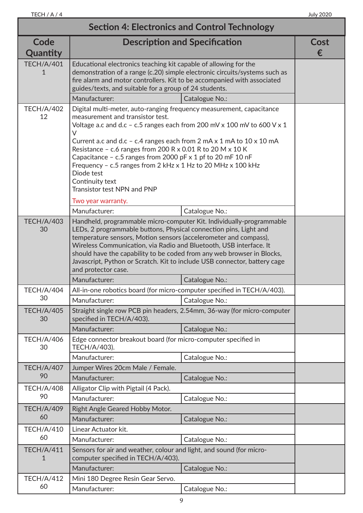$\overline{\phantom{a}}$ 

| <b>Section 4: Electronics and Control Technology</b> |                                                                                                                                                                                                                                                                                                                                                                                                                                                                                                                                                                            |                                                                         |           |
|------------------------------------------------------|----------------------------------------------------------------------------------------------------------------------------------------------------------------------------------------------------------------------------------------------------------------------------------------------------------------------------------------------------------------------------------------------------------------------------------------------------------------------------------------------------------------------------------------------------------------------------|-------------------------------------------------------------------------|-----------|
| Code<br>Quantity                                     |                                                                                                                                                                                                                                                                                                                                                                                                                                                                                                                                                                            | <b>Description and Specification</b>                                    | Cost<br>€ |
| <b>TECH/A/401</b><br>1                               | Educational electronics teaching kit capable of allowing for the<br>demonstration of a range (c.20) simple electronic circuits/systems such as<br>fire alarm and motor controllers. Kit to be accompanied with associated<br>guides/texts, and suitable for a group of 24 students.                                                                                                                                                                                                                                                                                        |                                                                         |           |
|                                                      | Manufacturer:                                                                                                                                                                                                                                                                                                                                                                                                                                                                                                                                                              | Catalogue No.:                                                          |           |
| <b>TECH/A/402</b><br>12                              | Digital multi-meter, auto-ranging frequency measurement, capacitance<br>measurement and transistor test.<br>Voltage a.c and d.c - c.5 ranges each from 200 mV x 100 mV to 600 V x 1<br>V<br>Current a.c and d.c - c.4 ranges each from $2 \text{ mA} \times 1 \text{ mA}$ to $10 \times 10 \text{ mA}$<br>Resistance - c.6 ranges from 200 R x 0.01 R to 20 M x 10 K<br>Capacitance - c.5 ranges from 2000 pF $\times$ 1 pf to 20 mF 10 nF<br>Frequency - c.5 ranges from 2 kHz x 1 Hz to 20 MHz x 100 kHz<br>Diode test<br>Continuity text<br>Transistor test NPN and PNP |                                                                         |           |
|                                                      | Two year warranty.                                                                                                                                                                                                                                                                                                                                                                                                                                                                                                                                                         |                                                                         |           |
|                                                      | Manufacturer:                                                                                                                                                                                                                                                                                                                                                                                                                                                                                                                                                              | Catalogue No.:                                                          |           |
| <b>TECH/A/403</b><br>30                              | Handheld, programmable micro-computer Kit. Individually-programmable<br>LEDs, 2 programmable buttons, Physical connection pins, Light and<br>temperature sensors, Motion sensors (accelerometer and compass),<br>Wireless Communication, via Radio and Bluetooth, USB interface. It<br>should have the capability to be coded from any web browser in Blocks,<br>Javascript, Python or Scratch. Kit to include USB connector, battery cage<br>and protector case.                                                                                                          |                                                                         |           |
|                                                      | Manufacturer:                                                                                                                                                                                                                                                                                                                                                                                                                                                                                                                                                              | Catalogue No.:                                                          |           |
| <b>TECH/A/404</b>                                    | All-in-one robotics board (for micro-computer specified in TECH/A/403).                                                                                                                                                                                                                                                                                                                                                                                                                                                                                                    |                                                                         |           |
| 30                                                   | Manufacturer:                                                                                                                                                                                                                                                                                                                                                                                                                                                                                                                                                              | Catalogue No.:                                                          |           |
| <b>TECH/A/405</b><br>30                              | specified in TECH/A/403).                                                                                                                                                                                                                                                                                                                                                                                                                                                                                                                                                  | Straight single row PCB pin headers, 2.54mm, 36-way (for micro-computer |           |
|                                                      | Manufacturer:                                                                                                                                                                                                                                                                                                                                                                                                                                                                                                                                                              | Catalogue No.:                                                          |           |
| <b>TECH/A/406</b><br>30                              | Edge connector breakout board (for micro-computer specified in<br>TECH/A/403).                                                                                                                                                                                                                                                                                                                                                                                                                                                                                             |                                                                         |           |
|                                                      | Manufacturer:                                                                                                                                                                                                                                                                                                                                                                                                                                                                                                                                                              | Catalogue No.:                                                          |           |
| <b>TECH/A/407</b>                                    | Jumper Wires 20cm Male / Female.                                                                                                                                                                                                                                                                                                                                                                                                                                                                                                                                           |                                                                         |           |
| 90                                                   | Manufacturer:                                                                                                                                                                                                                                                                                                                                                                                                                                                                                                                                                              | Catalogue No.:                                                          |           |
| <b>TECH/A/408</b>                                    | Alligator Clip with Pigtail (4 Pack).                                                                                                                                                                                                                                                                                                                                                                                                                                                                                                                                      |                                                                         |           |
| 90                                                   | Manufacturer:                                                                                                                                                                                                                                                                                                                                                                                                                                                                                                                                                              | Catalogue No.:                                                          |           |
| <b>TECH/A/409</b>                                    | Right Angle Geared Hobby Motor.                                                                                                                                                                                                                                                                                                                                                                                                                                                                                                                                            |                                                                         |           |
| 60                                                   | Manufacturer:                                                                                                                                                                                                                                                                                                                                                                                                                                                                                                                                                              | Catalogue No.:                                                          |           |
| <b>TECH/A/410</b>                                    | Linear Actuator kit.                                                                                                                                                                                                                                                                                                                                                                                                                                                                                                                                                       |                                                                         |           |
| 60                                                   | Manufacturer:                                                                                                                                                                                                                                                                                                                                                                                                                                                                                                                                                              | Catalogue No.:                                                          |           |
| <b>TECH/A/411</b><br>1                               | Sensors for air and weather, colour and light, and sound (for micro-<br>computer specified in TECH/A/403).                                                                                                                                                                                                                                                                                                                                                                                                                                                                 |                                                                         |           |
|                                                      | Manufacturer:                                                                                                                                                                                                                                                                                                                                                                                                                                                                                                                                                              | Catalogue No.:                                                          |           |
| <b>TECH/A/412</b>                                    | Mini 180 Degree Resin Gear Servo.                                                                                                                                                                                                                                                                                                                                                                                                                                                                                                                                          |                                                                         |           |
| 60                                                   | Manufacturer:                                                                                                                                                                                                                                                                                                                                                                                                                                                                                                                                                              | Catalogue No.:                                                          |           |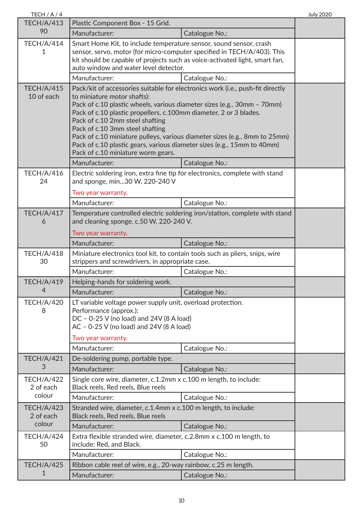| TECH / A / 4                                                                                                                          |                                                                                                                                                                                                                                                                                                                                                                                                                                                                                                                                    |                                                                                                                                                        | <b>July 2020</b> |
|---------------------------------------------------------------------------------------------------------------------------------------|------------------------------------------------------------------------------------------------------------------------------------------------------------------------------------------------------------------------------------------------------------------------------------------------------------------------------------------------------------------------------------------------------------------------------------------------------------------------------------------------------------------------------------|--------------------------------------------------------------------------------------------------------------------------------------------------------|------------------|
| <b>TECH/A/413</b>                                                                                                                     | Plastic Component Box - 15 Grid.                                                                                                                                                                                                                                                                                                                                                                                                                                                                                                   |                                                                                                                                                        |                  |
| 90                                                                                                                                    | Manufacturer:                                                                                                                                                                                                                                                                                                                                                                                                                                                                                                                      | Catalogue No.:                                                                                                                                         |                  |
| <b>TECH/A/414</b><br>Smart Home Kit, to include temperature sensor, sound sensor, crash<br>1<br>auto window and water level detector. |                                                                                                                                                                                                                                                                                                                                                                                                                                                                                                                                    | sensor, servo, motor (for micro-computer specified in TECH/A/403). This<br>kit should be capable of projects such as voice-activated light, smart fan, |                  |
|                                                                                                                                       | Manufacturer:                                                                                                                                                                                                                                                                                                                                                                                                                                                                                                                      | Catalogue No.:                                                                                                                                         |                  |
| <b>TECH/A/415</b><br>10 of each                                                                                                       | Pack/kit of accessories suitable for electronics work (i.e., push-fit directly<br>to miniature motor shafts):<br>Pack of c.10 plastic wheels, various diameter sizes (e.g., 30mm - 70mm)<br>Pack of c.10 plastic propellers, c.100mm diameter, 2 or 3 blades.<br>Pack of c.10 2mm steel shafting<br>Pack of c.10 3mm steel shafting<br>Pack of c.10 miniature pulleys, various diameter sizes (e.g., 8mm to 25mm)<br>Pack of c.10 plastic gears, various diameter sizes (e.g., 15mm to 40mm)<br>Pack of c.10 miniature worm gears. |                                                                                                                                                        |                  |
|                                                                                                                                       | Manufacturer:                                                                                                                                                                                                                                                                                                                                                                                                                                                                                                                      | Catalogue No.:                                                                                                                                         |                  |
| <b>TECH/A/416</b><br>24                                                                                                               | Electric soldering iron, extra fine tip for electronics, complete with stand<br>and sponge, min30 W, 220-240 V<br>Two year warranty.                                                                                                                                                                                                                                                                                                                                                                                               |                                                                                                                                                        |                  |
|                                                                                                                                       | Manufacturer:                                                                                                                                                                                                                                                                                                                                                                                                                                                                                                                      | Catalogue No.:                                                                                                                                         |                  |
| <b>TECH/A/417</b><br>6                                                                                                                | Temperature controlled electric soldering iron/station, complete with stand<br>and cleaning sponge, c.50 W, 220-240 V.                                                                                                                                                                                                                                                                                                                                                                                                             |                                                                                                                                                        |                  |
|                                                                                                                                       | Two year warranty.                                                                                                                                                                                                                                                                                                                                                                                                                                                                                                                 |                                                                                                                                                        |                  |
|                                                                                                                                       | Manufacturer:                                                                                                                                                                                                                                                                                                                                                                                                                                                                                                                      | Catalogue No.:                                                                                                                                         |                  |
| <b>TECH/A/418</b><br>30                                                                                                               | Miniature electronics tool kit, to contain tools such as pliers, snips, wire<br>strippers and screwdrivers, in appropriate case.                                                                                                                                                                                                                                                                                                                                                                                                   |                                                                                                                                                        |                  |
|                                                                                                                                       | Manufacturer:                                                                                                                                                                                                                                                                                                                                                                                                                                                                                                                      | Catalogue No.:                                                                                                                                         |                  |
| <b>TECH/A/419</b>                                                                                                                     | Helping-hands for soldering work.                                                                                                                                                                                                                                                                                                                                                                                                                                                                                                  |                                                                                                                                                        |                  |
| 4                                                                                                                                     | Manufacturer:                                                                                                                                                                                                                                                                                                                                                                                                                                                                                                                      | Catalogue No.:                                                                                                                                         |                  |
| <b>TECH/A/420</b><br>8                                                                                                                | LT variable voltage power supply unit, overload protection.<br>Performance (approx.):<br>DC - 0-25 V (no load) and 24V (8 A load)<br>$AC - 0-25 V$ (no load) and 24V (8 A load)                                                                                                                                                                                                                                                                                                                                                    |                                                                                                                                                        |                  |
|                                                                                                                                       | Two year warranty.                                                                                                                                                                                                                                                                                                                                                                                                                                                                                                                 |                                                                                                                                                        |                  |
|                                                                                                                                       | Manufacturer:                                                                                                                                                                                                                                                                                                                                                                                                                                                                                                                      | Catalogue No.:                                                                                                                                         |                  |
| <b>TECH/A/421</b><br>3                                                                                                                | De-soldering pump, portable type.                                                                                                                                                                                                                                                                                                                                                                                                                                                                                                  |                                                                                                                                                        |                  |
|                                                                                                                                       | Manufacturer:                                                                                                                                                                                                                                                                                                                                                                                                                                                                                                                      | Catalogue No.:                                                                                                                                         |                  |
| <b>TECH/A/422</b><br>2 of each<br>colour                                                                                              | Single core wire, diameter, c.1.2mm x c.100 m length, to include:<br>Black reels, Red reels, Blue reels                                                                                                                                                                                                                                                                                                                                                                                                                            |                                                                                                                                                        |                  |
|                                                                                                                                       | Manufacturer:                                                                                                                                                                                                                                                                                                                                                                                                                                                                                                                      | Catalogue No.:                                                                                                                                         |                  |
| <b>TECH/A/423</b><br>2 of each                                                                                                        | Stranded wire, diameter, c.1.4mm x c.100 m length, to include:<br>Black reels, Red reels, Blue reels                                                                                                                                                                                                                                                                                                                                                                                                                               |                                                                                                                                                        |                  |
| colour                                                                                                                                | Manufacturer:                                                                                                                                                                                                                                                                                                                                                                                                                                                                                                                      | Catalogue No.:                                                                                                                                         |                  |
| TECH/A/424<br>50                                                                                                                      | Extra flexible stranded wire, diameter, c.2.8mm x c.100 m length, to<br>include: Red, and Black.                                                                                                                                                                                                                                                                                                                                                                                                                                   |                                                                                                                                                        |                  |
|                                                                                                                                       | Manufacturer:                                                                                                                                                                                                                                                                                                                                                                                                                                                                                                                      | Catalogue No.:                                                                                                                                         |                  |
| <b>TECH/A/425</b>                                                                                                                     | Ribbon cable reel of wire, e.g., 20-way rainbow, c.25 m length.                                                                                                                                                                                                                                                                                                                                                                                                                                                                    |                                                                                                                                                        |                  |
| 1                                                                                                                                     | Manufacturer:                                                                                                                                                                                                                                                                                                                                                                                                                                                                                                                      | Catalogue No.:                                                                                                                                         |                  |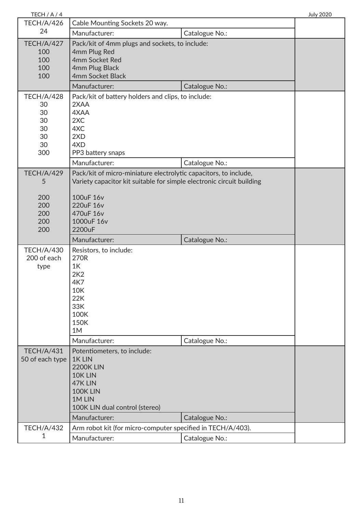| TECH / A / 4                                              |                                                                                                                                                                                                          |                | <b>July 2020</b> |
|-----------------------------------------------------------|----------------------------------------------------------------------------------------------------------------------------------------------------------------------------------------------------------|----------------|------------------|
| <b>TECH/A/426</b>                                         | Cable Mounting Sockets 20 way.                                                                                                                                                                           |                |                  |
| 24                                                        | Manufacturer:                                                                                                                                                                                            | Catalogue No.: |                  |
| <b>TECH/A/427</b><br>100<br>100<br>100<br>100             | Pack/kit of 4mm plugs and sockets, to include:<br>4mm Plug Red<br>4mm Socket Red<br>4mm Plug Black<br>4mm Socket Black<br>Manufacturer:                                                                  | Catalogue No.: |                  |
| <b>TECH/A/428</b>                                         | Pack/kit of battery holders and clips, to include:                                                                                                                                                       |                |                  |
| 30<br>30<br>30<br>30<br>30<br>30<br>300                   | 2XAA<br>4XAA<br>2XC<br>4XC<br>2XD<br>4XD<br>PP3 battery snaps                                                                                                                                            |                |                  |
|                                                           | Manufacturer:                                                                                                                                                                                            | Catalogue No.: |                  |
| <b>TECH/A/429</b><br>5<br>200<br>200<br>200<br>200<br>200 | Pack/kit of micro-miniature electrolytic capacitors, to include,<br>Variety capacitor kit suitable for simple electronic circuit building<br>100uF 16v<br>220uF 16v<br>470uF 16v<br>1000uF 16v<br>2200uF |                |                  |
|                                                           | Manufacturer:                                                                                                                                                                                            | Catalogue No.: |                  |
| <b>TECH/A/430</b><br>200 of each<br>type                  | Resistors, to include:<br>270R<br>1K<br>2K2<br>4K7<br>10K<br>22K<br>33K<br>100K<br>150K<br>1M                                                                                                            |                |                  |
|                                                           | Manufacturer:                                                                                                                                                                                            | Catalogue No.: |                  |
| <b>TECH/A/431</b><br>50 of each type                      | Potentiometers, to include:<br>1K LIN<br><b>2200K LIN</b><br>10K LIN<br>47K LIN<br>100K LIN<br>1M LIN<br>100K LIN dual control (stereo)<br>Manufacturer:                                                 | Catalogue No.: |                  |
| <b>TECH/A/432</b>                                         | Arm robot kit (for micro-computer specified in TECH/A/403).                                                                                                                                              |                |                  |
| 1                                                         | Manufacturer:                                                                                                                                                                                            | Catalogue No.: |                  |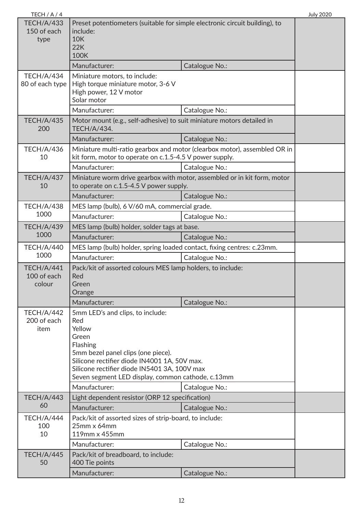| TECH $/A/4$                                                          |                                                                                                                                                                                                                                                                                    |                                                                           | <b>July 2020</b> |
|----------------------------------------------------------------------|------------------------------------------------------------------------------------------------------------------------------------------------------------------------------------------------------------------------------------------------------------------------------------|---------------------------------------------------------------------------|------------------|
| <b>TECH/A/433</b><br>150 of each<br>type                             | Preset potentiometers (suitable for simple electronic circuit building), to<br>include:<br><b>10K</b><br>22K<br><b>100K</b>                                                                                                                                                        |                                                                           |                  |
|                                                                      | Manufacturer:                                                                                                                                                                                                                                                                      | Catalogue No.:                                                            |                  |
| <b>TECH/A/434</b><br>80 of each type                                 | Miniature motors, to include:<br>High torque miniature motor, 3-6 V<br>High power, 12 V motor<br>Solar motor<br>Manufacturer:                                                                                                                                                      | Catalogue No.:                                                            |                  |
| <b>TECH/A/435</b>                                                    | Motor mount (e.g., self-adhesive) to suit miniature motors detailed in                                                                                                                                                                                                             |                                                                           |                  |
| 200                                                                  | <b>TECH/A/434.</b>                                                                                                                                                                                                                                                                 |                                                                           |                  |
|                                                                      | Manufacturer:                                                                                                                                                                                                                                                                      | Catalogue No.:                                                            |                  |
| <b>TECH/A/436</b><br>10                                              | kit form, motor to operate on c.1.5-4.5 V power supply.                                                                                                                                                                                                                            | Miniature multi-ratio gearbox and motor (clearbox motor), assembled OR in |                  |
|                                                                      | Manufacturer:                                                                                                                                                                                                                                                                      | Catalogue No.:                                                            |                  |
| <b>TECH/A/437</b><br>10                                              | to operate on c.1.5-4.5 V power supply.                                                                                                                                                                                                                                            | Miniature worm drive gearbox with motor, assembled or in kit form, motor  |                  |
|                                                                      | Manufacturer:                                                                                                                                                                                                                                                                      | Catalogue No.:                                                            |                  |
| <b>TECH/A/438</b>                                                    | MES lamp (bulb), 6 V/60 mA, commercial grade.                                                                                                                                                                                                                                      |                                                                           |                  |
| 1000                                                                 | Manufacturer:                                                                                                                                                                                                                                                                      | Catalogue No.:                                                            |                  |
| <b>TECH/A/439</b>                                                    | MES lamp (bulb) holder, solder tags at base.                                                                                                                                                                                                                                       |                                                                           |                  |
| 1000                                                                 | Manufacturer:                                                                                                                                                                                                                                                                      | Catalogue No.:                                                            |                  |
| <b>TECH/A/440</b>                                                    | MES lamp (bulb) holder, spring loaded contact, fixing centres: c.23mm.                                                                                                                                                                                                             |                                                                           |                  |
| 1000                                                                 | Manufacturer:                                                                                                                                                                                                                                                                      | Catalogue No.:                                                            |                  |
| <b>TECH/A/441</b><br>100 of each<br>colour                           | Pack/kit of assorted colours MES lamp holders, to include:<br>Red<br>Green<br>Orange                                                                                                                                                                                               |                                                                           |                  |
|                                                                      | Manufacturer:                                                                                                                                                                                                                                                                      | Catalogue No.:                                                            |                  |
| <b>TECH/A/442</b><br>200 of each<br>item                             | 5mm LED's and clips, to include:<br>Red<br>Yellow<br>Green<br>Flashing<br>5mm bezel panel clips (one piece).<br>Silicone rectifier diode IN4001 1A, 50V max.<br>Silicone rectifier diode IN5401 3A, 100V max<br>Seven segment LED display, common cathode, c.13mm<br>Manufacturer: | Catalogue No.:                                                            |                  |
| <b>TECH/A/443</b><br>Light dependent resistor (ORP 12 specification) |                                                                                                                                                                                                                                                                                    |                                                                           |                  |
| 60                                                                   | Manufacturer:<br>Catalogue No.:                                                                                                                                                                                                                                                    |                                                                           |                  |
| <b>TECH/A/444</b><br>100<br>10                                       | Pack/kit of assorted sizes of strip-board, to include:<br>$25$ mm x 64mm<br>119mm x 455mm<br>Manufacturer:                                                                                                                                                                         | Catalogue No.:                                                            |                  |
| <b>TECH/A/445</b>                                                    | Pack/kit of breadboard, to include:                                                                                                                                                                                                                                                |                                                                           |                  |
| 50                                                                   | 400 Tie points                                                                                                                                                                                                                                                                     |                                                                           |                  |
|                                                                      | Manufacturer:                                                                                                                                                                                                                                                                      | Catalogue No.:                                                            |                  |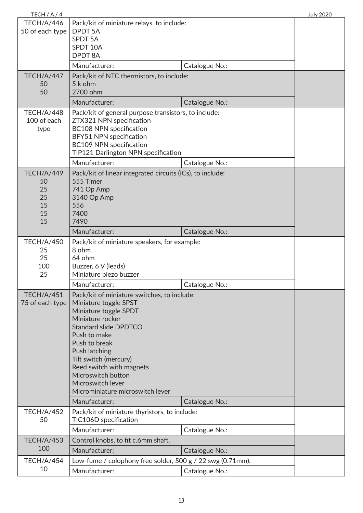| TECH / A / 4                                   |                                                                                                                                                                                                                                                                                                                                                          |                | <b>July 2020</b> |
|------------------------------------------------|----------------------------------------------------------------------------------------------------------------------------------------------------------------------------------------------------------------------------------------------------------------------------------------------------------------------------------------------------------|----------------|------------------|
| <b>TECH/A/446</b><br>50 of each type           | Pack/kit of miniature relays, to include:<br><b>DPDT 5A</b><br><b>SPDT 5A</b><br>SPDT 10A<br><b>DPDT 8A</b>                                                                                                                                                                                                                                              |                |                  |
|                                                | Manufacturer:                                                                                                                                                                                                                                                                                                                                            | Catalogue No.: |                  |
| <b>TECH/A/447</b><br>50<br>50                  | Pack/kit of NTC thermistors, to include:<br>5 k ohm<br>2700 ohm                                                                                                                                                                                                                                                                                          |                |                  |
|                                                | Manufacturer:                                                                                                                                                                                                                                                                                                                                            | Catalogue No.: |                  |
| <b>TECH/A/448</b><br>100 of each<br>type       | Pack/kit of general purpose transistors, to include:<br>ZTX321 NPN specification<br><b>BC108 NPN specification</b><br>BFY51 NPN specification<br><b>BC109 NPN specification</b><br>TIP121 Darlington NPN specification                                                                                                                                   |                |                  |
|                                                | Manufacturer:                                                                                                                                                                                                                                                                                                                                            | Catalogue No.: |                  |
| TECH/A/449<br>50<br>25<br>25<br>15<br>15<br>15 | Pack/kit of linear integrated circuits (ICs), to include:<br>555 Timer<br>741 Op Amp<br>3140 Op Amp<br>556<br>7400<br>7490                                                                                                                                                                                                                               |                |                  |
|                                                | Manufacturer:                                                                                                                                                                                                                                                                                                                                            | Catalogue No.: |                  |
| <b>TECH/A/450</b><br>25<br>25<br>100<br>25     | Pack/kit of miniature speakers, for example:<br>8 ohm<br>64 ohm<br>Buzzer, 6 V (leads)<br>Miniature piezo buzzer                                                                                                                                                                                                                                         |                |                  |
|                                                | Manufacturer:                                                                                                                                                                                                                                                                                                                                            | Catalogue No.: |                  |
| <b>TECH/A/451</b><br>75 of each type           | Pack/kit of miniature switches, to include:<br>Miniature toggle SPST<br>Miniature toggle SPDT<br>Miniature rocker<br><b>Standard slide DPDTCO</b><br>Push to make<br>Push to break<br>Push latching<br>Tilt switch (mercury)<br>Reed switch with magnets<br>Microswitch button<br>Microswitch lever<br>Microminiature microswitch lever<br>Manufacturer: | Catalogue No.: |                  |
| <b>TECH/A/452</b>                              | Pack/kit of miniature thyristors, to include:                                                                                                                                                                                                                                                                                                            |                |                  |
| 50                                             | TIC106D specification<br>Manufacturer:                                                                                                                                                                                                                                                                                                                   | Catalogue No.: |                  |
| <b>TECH/A/453</b>                              | Control knobs, to fit c.6mm shaft.                                                                                                                                                                                                                                                                                                                       |                |                  |
| 100                                            | Manufacturer:                                                                                                                                                                                                                                                                                                                                            | Catalogue No.: |                  |
| <b>TECH/A/454</b>                              | Low-fume / colophony free solder, 500 g / 22 swg (0.71mm).                                                                                                                                                                                                                                                                                               |                |                  |
| 10                                             | Manufacturer:                                                                                                                                                                                                                                                                                                                                            | Catalogue No.: |                  |
|                                                |                                                                                                                                                                                                                                                                                                                                                          |                |                  |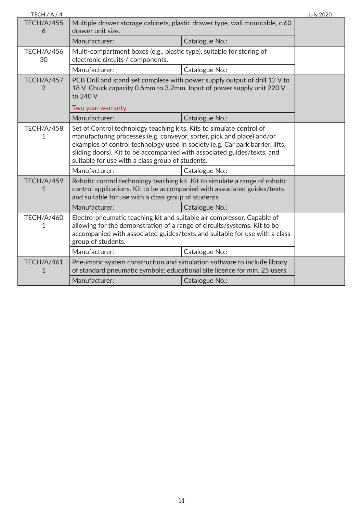| TECH / A / 4            |                                                                                                                                                                                                                                                                                                                                                                |                | <b>July 2020</b> |
|-------------------------|----------------------------------------------------------------------------------------------------------------------------------------------------------------------------------------------------------------------------------------------------------------------------------------------------------------------------------------------------------------|----------------|------------------|
| <b>TECH/A/455</b><br>6  | Multiple drawer storage cabinets, plastic drawer type, wall mountable, c.60<br>drawer unit size.                                                                                                                                                                                                                                                               |                |                  |
|                         | Manufacturer:                                                                                                                                                                                                                                                                                                                                                  | Catalogue No.: |                  |
| <b>TECH/A/456</b><br>30 | Multi-compartment boxes (e.g., plastic type), suitable for storing of<br>electronic circuits / components.                                                                                                                                                                                                                                                     |                |                  |
|                         | Manufacturer:                                                                                                                                                                                                                                                                                                                                                  | Catalogue No.: |                  |
| <b>TECH/A/457</b><br>2  | PCB Drill and stand set complete with power supply output of drill 12 V to<br>18 V. Chuck capacity 0.6mm to 3.2mm. Input of power supply unit 220 V<br>to 240 V                                                                                                                                                                                                |                |                  |
|                         | Two year warranty.                                                                                                                                                                                                                                                                                                                                             |                |                  |
|                         | Manufacturer:                                                                                                                                                                                                                                                                                                                                                  | Catalogue No.: |                  |
| <b>TECH/A/458</b><br>1  | Set of Control technology teaching kits. Kits to simulate control of<br>manufacturing processes (e.g. conveyor, sorter, pick and place) and/or<br>examples of control technology used in society (e.g. Car park barrier, lifts,<br>sliding doors). Kit to be accompanied with associated guides/texts, and<br>suitable for use with a class group of students. |                |                  |
|                         | Manufacturer:                                                                                                                                                                                                                                                                                                                                                  | Catalogue No.: |                  |
| <b>TECH/A/459</b><br>1  | Robotic control technology teaching kit. Kit to simulate a range of robotic<br>control applications. Kit to be accompanied with associated guides/texts<br>and suitable for use with a class group of students.                                                                                                                                                |                |                  |
|                         | Manufacturer:                                                                                                                                                                                                                                                                                                                                                  | Catalogue No.: |                  |
| <b>TECH/A/460</b><br>1  | Electro-pneumatic teaching kit and suitable air compressor. Capable of<br>allowing for the demonstration of a range of circuits/systems. Kit to be<br>accompanied with associated guides/texts and suitable for use with a class<br>group of students.                                                                                                         |                |                  |
|                         | Manufacturer:                                                                                                                                                                                                                                                                                                                                                  | Catalogue No.: |                  |
| <b>TECH/A/461</b>       | Pneumatic system construction and simulation software to include library<br>of standard pneumatic symbols; educational site licence for min. 25 users.                                                                                                                                                                                                         |                |                  |
|                         | Manufacturer:                                                                                                                                                                                                                                                                                                                                                  | Catalogue No.: |                  |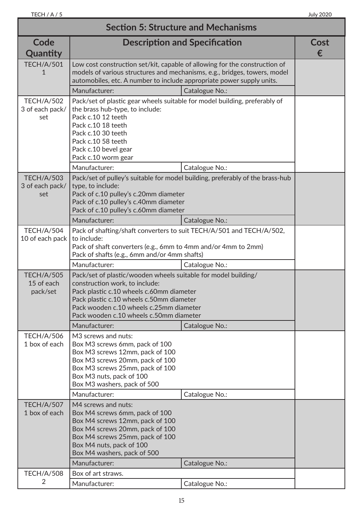| <b>Section 5: Structure and Mechanisms</b>  |                                                                                                                                                                                                                                                                                |                |           |
|---------------------------------------------|--------------------------------------------------------------------------------------------------------------------------------------------------------------------------------------------------------------------------------------------------------------------------------|----------------|-----------|
| Code<br>Quantity                            | <b>Description and Specification</b>                                                                                                                                                                                                                                           |                | Cost<br>€ |
| <b>TECH/A/501</b>                           | Low cost construction set/kit, capable of allowing for the construction of<br>models of various structures and mechanisms, e.g., bridges, towers, model<br>automobiles, etc. A number to include appropriate power supply units.                                               |                |           |
|                                             | Manufacturer:                                                                                                                                                                                                                                                                  | Catalogue No.: |           |
| <b>TECH/A/502</b><br>3 of each pack/<br>set | Pack/set of plastic gear wheels suitable for model building, preferably of<br>the brass hub-type, to include:<br>Pack c.10 12 teeth<br>Pack c.10 18 teeth<br>Pack c.10 30 teeth<br>Pack c.10 58 teeth<br>Pack c.10 bevel gear<br>Pack c.10 worm gear                           |                |           |
|                                             | Manufacturer:                                                                                                                                                                                                                                                                  | Catalogue No.: |           |
| <b>TECH/A/503</b><br>3 of each pack/<br>set | Pack/set of pulley's suitable for model building, preferably of the brass-hub<br>type, to include:<br>Pack of c.10 pulley's c.20mm diameter<br>Pack of c.10 pulley's c.40mm diameter<br>Pack of c.10 pulley's c.60mm diameter                                                  |                |           |
|                                             | Manufacturer:                                                                                                                                                                                                                                                                  | Catalogue No.: |           |
| <b>TECH/A/504</b><br>10 of each pack        | Pack of shafting/shaft converters to suit TECH/A/501 and TECH/A/502,<br>to include:<br>Pack of shaft converters (e.g., 6mm to 4mm and/or 4mm to 2mm)<br>Pack of shafts (e.g., 6mm and/or 4mm shafts)                                                                           |                |           |
|                                             | Manufacturer:                                                                                                                                                                                                                                                                  | Catalogue No.: |           |
| <b>TECH/A/505</b><br>15 of each<br>pack/set | Pack/set of plastic/wooden wheels suitable for model building/<br>construction work, to include:<br>Pack plastic c.10 wheels c.60mm diameter<br>Pack plastic c.10 wheels c.50mm diameter<br>Pack wooden c.10 wheels c.25mm diameter<br>Pack wooden c.10 wheels c.50mm diameter |                |           |
|                                             | Manufacturer:                                                                                                                                                                                                                                                                  | Catalogue No.: |           |
| <b>TECH/A/506</b><br>1 box of each          | M3 screws and nuts:<br>Box M3 screws 6mm, pack of 100<br>Box M3 screws 12mm, pack of 100<br>Box M3 screws 20mm, pack of 100<br>Box M3 screws 25mm, pack of 100<br>Box M3 nuts, pack of 100<br>Box M3 washers, pack of 500                                                      |                |           |
|                                             | Manufacturer:                                                                                                                                                                                                                                                                  | Catalogue No.: |           |
| <b>TECH/A/507</b><br>1 box of each          | M4 screws and nuts:<br>Box M4 screws 6mm, pack of 100<br>Box M4 screws 12mm, pack of 100<br>Box M4 screws 20mm, pack of 100<br>Box M4 screws 25mm, pack of 100<br>Box M4 nuts, pack of 100<br>Box M4 washers, pack of 500                                                      |                |           |
|                                             | Manufacturer:                                                                                                                                                                                                                                                                  | Catalogue No.: |           |
| <b>TECH/A/508</b><br>2                      | Box of art straws.<br>Manufacturer:                                                                                                                                                                                                                                            | Catalogue No.: |           |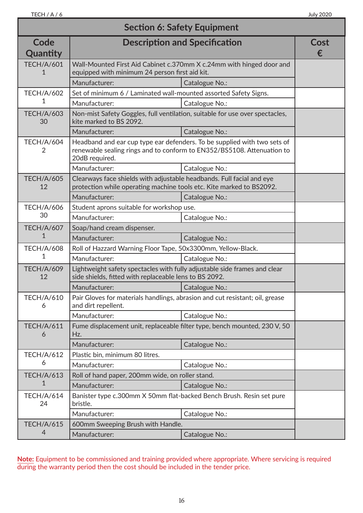| <b>Section 6: Safety Equipment</b> |                                                                                                                                               |                                                                                                                                                    |           |
|------------------------------------|-----------------------------------------------------------------------------------------------------------------------------------------------|----------------------------------------------------------------------------------------------------------------------------------------------------|-----------|
| Code<br>Quantity                   | <b>Description and Specification</b>                                                                                                          |                                                                                                                                                    | Cost<br>€ |
| <b>TECH/A/601</b>                  | Wall-Mounted First Aid Cabinet c.370mm X c.24mm with hinged door and<br>equipped with minimum 24 person first aid kit.                        |                                                                                                                                                    |           |
|                                    | Manufacturer:                                                                                                                                 | Catalogue No.:                                                                                                                                     |           |
| <b>TECH/A/602</b>                  | Set of minimum 6 / Laminated wall-mounted assorted Safety Signs.                                                                              |                                                                                                                                                    |           |
| 1                                  | Manufacturer:                                                                                                                                 | Catalogue No.:                                                                                                                                     |           |
| <b>TECH/A/603</b><br>30            | kite marked to BS 2092.                                                                                                                       | Non-mist Safety Goggles, full ventilation, suitable for use over spectacles,                                                                       |           |
|                                    | Manufacturer:                                                                                                                                 | Catalogue No.:                                                                                                                                     |           |
| <b>TECH/A/604</b><br>2             | 20dB required.                                                                                                                                | Headband and ear cup type ear defenders. To be supplied with two sets of<br>renewable sealing rings and to conform to EN352/BS5108. Attenuation to |           |
|                                    | Manufacturer:                                                                                                                                 | Catalogue No.:                                                                                                                                     |           |
| <b>TECH/A/605</b><br>12            | Clearways face shields with adjustable headbands. Full facial and eye<br>protection while operating machine tools etc. Kite marked to BS2092. |                                                                                                                                                    |           |
|                                    | Manufacturer:                                                                                                                                 | Catalogue No.:                                                                                                                                     |           |
| <b>TECH/A/606</b>                  | Student aprons suitable for workshop use.                                                                                                     |                                                                                                                                                    |           |
| 30                                 | Manufacturer:                                                                                                                                 | Catalogue No.:                                                                                                                                     |           |
| <b>TECH/A/607</b>                  | Soap/hand cream dispenser.                                                                                                                    |                                                                                                                                                    |           |
| 1                                  | Manufacturer:                                                                                                                                 | Catalogue No.:                                                                                                                                     |           |
| <b>TECH/A/608</b>                  | Roll of Hazzard Warning Floor Tape, 50x3300mm, Yellow-Black.                                                                                  |                                                                                                                                                    |           |
| 1                                  | Manufacturer:                                                                                                                                 | Catalogue No.:                                                                                                                                     |           |
| <b>TECH/A/609</b><br>12            | Lightweight safety spectacles with fully adjustable side frames and clear<br>side shields, fitted with replaceable lens to BS 2092.           |                                                                                                                                                    |           |
|                                    | Manufacturer:                                                                                                                                 | Catalogue No.:                                                                                                                                     |           |
| <b>TECH/A/610</b><br>6             | and dirt repellent.                                                                                                                           | Pair Gloves for materials handlings, abrasion and cut resistant; oil, grease                                                                       |           |
|                                    | Manufacturer:                                                                                                                                 | Catalogue No.:                                                                                                                                     |           |
| <b>TECH/A/611</b><br>6             | Fume displacement unit, replaceable filter type, bench mounted, 230 V, 50<br>Hz.                                                              |                                                                                                                                                    |           |
|                                    | Manufacturer:                                                                                                                                 | Catalogue No.:                                                                                                                                     |           |
| <b>TECH/A/612</b>                  | Plastic bin, minimum 80 litres.                                                                                                               |                                                                                                                                                    |           |
| 6                                  | Manufacturer:                                                                                                                                 | Catalogue No.:                                                                                                                                     |           |
| <b>TECH/A/613</b>                  | Roll of hand paper, 200mm wide, on roller stand.                                                                                              |                                                                                                                                                    |           |
| 1                                  | Manufacturer:                                                                                                                                 | Catalogue No.:                                                                                                                                     |           |
| <b>TECH/A/614</b><br>24            | bristle.                                                                                                                                      | Banister type c.300mm X 50mm flat-backed Bench Brush. Resin set pure                                                                               |           |
|                                    | Manufacturer:                                                                                                                                 | Catalogue No.:                                                                                                                                     |           |
| <b>TECH/A/615</b>                  | 600mm Sweeping Brush with Handle.                                                                                                             |                                                                                                                                                    |           |
| 4                                  | Manufacturer:                                                                                                                                 | Catalogue No.:                                                                                                                                     |           |

**Note:** Equipment to be commissioned and training provided where appropriate. Where servicing is required during the warranty period then the cost should be included in the tender price.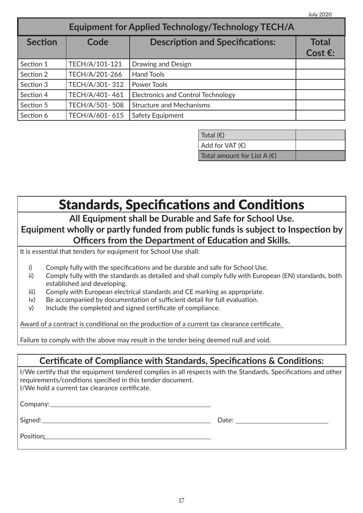| <b>Equipment for Applied Technology/Technology TECH/A</b> |                |                                           |                            |
|-----------------------------------------------------------|----------------|-------------------------------------------|----------------------------|
| <b>Section</b>                                            | Code           | <b>Description and Specifications:</b>    | Total<br>Cost $\epsilon$ : |
| Section 1                                                 | TECH/A/101-121 | Drawing and Design                        |                            |
| Section 2                                                 | TECH/A/201-266 | <b>Hand Tools</b>                         |                            |
| Section 3                                                 | TECH/A/301-312 | Power Tools                               |                            |
| Section 4                                                 | TECH/A/401-461 | <b>Electronics and Control Technology</b> |                            |
| Section 5                                                 | TECH/A/501-508 | <b>Structure and Mechanisms</b>           |                            |
| Section 6                                                 | TECH/A/601-615 | Safety Equipment                          |                            |

| Total $(\epsilon)$                   |  |
|--------------------------------------|--|
| Add for VAT(E)                       |  |
| Total amount for List A $(\epsilon)$ |  |

Standards, Specifications and Conditions

**All Equipment shall be Durable and Safe for School Use. Equipment wholly or partly funded from public funds is subject to Inspection by Officers from the Department of Education and Skills.**

It is essential that tenders for equipment for School Use shall:

- i) Comply fully with the specifications and be durable and safe for School Use.
- ii) Comply fully with the standards as detailed and shall comply fully with European (EN) standards, both established and developing.
- iii) Comply with European electrical standards and CE marking as appropriate.
- iv) Be accompanied by documentation of sufficient detail for full evaluation.
- v) Include the completed and signed certificate of compliance.

Award of a contract is conditional on the production of a current tax clearance certificate.

Failure to comply with the above may result in the tender being deemed null and void.

#### **Certificate of Compliance with Standards, Specifications & Conditions:**

I/We certify that the equipment tendered complies in all respects with the Standards, Specifications and other requirements/conditions specified in this tender document. I/We hold a current tax clearance certificate.

Company: Company:

Signed: Date:

Position: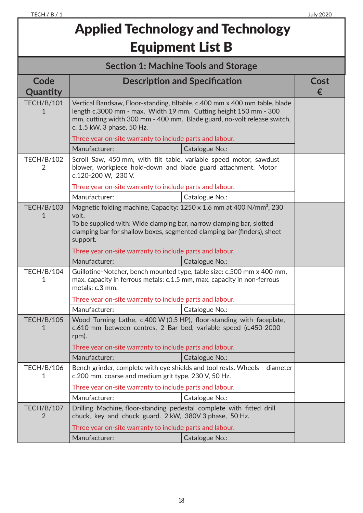## Applied Technology and Technology Equipment List B

| <b>Section 1: Machine Tools and Storage</b> |                                                                                                                                                                                                                                                          |                |   |
|---------------------------------------------|----------------------------------------------------------------------------------------------------------------------------------------------------------------------------------------------------------------------------------------------------------|----------------|---|
| Code                                        | <b>Description and Specification</b><br>Cost                                                                                                                                                                                                             |                |   |
| Quantity                                    |                                                                                                                                                                                                                                                          |                | € |
| <b>TECH/B/101</b><br>1                      | Vertical Bandsaw, Floor-standing, tiltable, c.400 mm x 400 mm table, blade<br>length c.3000 mm - max. Width 19 mm. Cutting height 150 mm - 300<br>mm, cutting width 300 mm - 400 mm. Blade guard, no-volt release switch,<br>c. 1.5 kW, 3 phase, 50 Hz.  |                |   |
|                                             | Three year on-site warranty to include parts and labour.                                                                                                                                                                                                 |                |   |
|                                             | Manufacturer:                                                                                                                                                                                                                                            | Catalogue No.: |   |
| <b>TECH/B/102</b><br>$\overline{2}$         | Scroll Saw, 450 mm, with tilt table, variable speed motor, sawdust<br>blower, workpiece hold-down and blade guard attachment. Motor<br>c.120-200 W, 230 V.                                                                                               |                |   |
|                                             | Three year on-site warranty to include parts and labour.                                                                                                                                                                                                 |                |   |
|                                             | Manufacturer:                                                                                                                                                                                                                                            | Catalogue No.: |   |
| <b>TECH/B/103</b>                           | Magnetic folding machine, Capacity: 1250 x 1,6 mm at 400 N/mm <sup>2</sup> , 230<br>volt.<br>To be supplied with: Wide clamping bar, narrow clamping bar, slotted<br>clamping bar for shallow boxes, segmented clamping bar (finders), sheet<br>support. |                |   |
|                                             | Three year on-site warranty to include parts and labour.                                                                                                                                                                                                 |                |   |
|                                             | Manufacturer:                                                                                                                                                                                                                                            | Catalogue No.: |   |
| <b>TECH/B/104</b><br>1                      | Guillotine-Notcher, bench mounted type, table size: c.500 mm x 400 mm,<br>max. capacity in ferrous metals: c.1.5 mm, max. capacity in non-ferrous<br>metals: c.3 mm.                                                                                     |                |   |
|                                             | Three year on-site warranty to include parts and labour.                                                                                                                                                                                                 |                |   |
|                                             | Manufacturer:                                                                                                                                                                                                                                            | Catalogue No.: |   |
| <b>TECH/B/105</b><br>1                      | Wood Turning Lathe, c.400 W (0.5 HP), floor-standing with faceplate,<br>c.610 mm between centres, 2 Bar bed, variable speed (c.450-2000<br>rpm).<br>Three year on-site warranty to include parts and labour.                                             |                |   |
|                                             | Manufacturer:                                                                                                                                                                                                                                            | Catalogue No.: |   |
| <b>TECH/B/106</b><br>1                      | Bench grinder, complete with eye shields and tool rests. Wheels - diameter<br>c.200 mm, coarse and medium grit type, 230 V, 50 Hz.                                                                                                                       |                |   |
|                                             | Three year on-site warranty to include parts and labour.                                                                                                                                                                                                 |                |   |
|                                             | Manufacturer:                                                                                                                                                                                                                                            | Catalogue No.: |   |
| <b>TECH/B/107</b><br>$\overline{2}$         | Drilling Machine, floor-standing pedestal complete with fitted drill<br>chuck, key and chuck guard. 2 kW, 380V 3 phase, 50 Hz.                                                                                                                           |                |   |
|                                             | Three year on-site warranty to include parts and labour.                                                                                                                                                                                                 |                |   |
|                                             | Manufacturer:                                                                                                                                                                                                                                            | Catalogue No.: |   |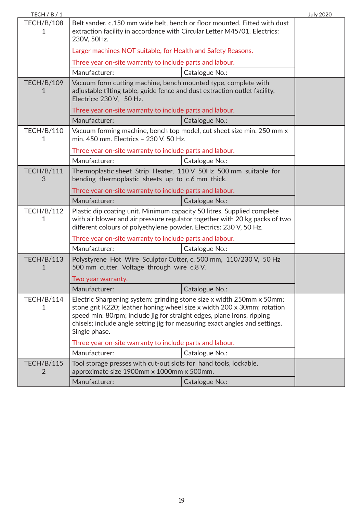| TECH / B / 1           |                                                                                                                                                                                                                                                                                                                            |                | <b>July 2020</b> |
|------------------------|----------------------------------------------------------------------------------------------------------------------------------------------------------------------------------------------------------------------------------------------------------------------------------------------------------------------------|----------------|------------------|
| <b>TECH/B/108</b><br>1 | Belt sander, c.150 mm wide belt, bench or floor mounted. Fitted with dust<br>extraction facility in accordance with Circular Letter M45/01. Electrics:<br>230V, 50Hz.                                                                                                                                                      |                |                  |
|                        | Larger machines NOT suitable, for Health and Safety Reasons.                                                                                                                                                                                                                                                               |                |                  |
|                        | Three year on-site warranty to include parts and labour.                                                                                                                                                                                                                                                                   |                |                  |
|                        | Manufacturer:                                                                                                                                                                                                                                                                                                              | Catalogue No.: |                  |
| <b>TECH/B/109</b><br>1 | Vacuum form cutting machine, bench mounted type, complete with<br>adjustable tilting table, guide fence and dust extraction outlet facility,<br>Electrics: 230 V, 50 Hz.                                                                                                                                                   |                |                  |
|                        | Three year on-site warranty to include parts and labour.                                                                                                                                                                                                                                                                   |                |                  |
|                        | Manufacturer:                                                                                                                                                                                                                                                                                                              | Catalogue No.: |                  |
| <b>TECH/B/110</b><br>1 | Vacuum forming machine, bench top model, cut sheet size min. 250 mm x<br>min. 450 mm. Electrics - 230 V, 50 Hz.                                                                                                                                                                                                            |                |                  |
|                        | Three year on-site warranty to include parts and labour.                                                                                                                                                                                                                                                                   |                |                  |
|                        | Manufacturer:                                                                                                                                                                                                                                                                                                              | Catalogue No.: |                  |
| <b>TECH/B/111</b><br>3 | Thermoplastic sheet Strip Heater, 110 V 50Hz 500 mm suitable for<br>bending thermoplastic sheets up to c.6 mm thick.                                                                                                                                                                                                       |                |                  |
|                        | Three year on-site warranty to include parts and labour.                                                                                                                                                                                                                                                                   |                |                  |
|                        | Manufacturer:                                                                                                                                                                                                                                                                                                              | Catalogue No.: |                  |
| <b>TECH/B/112</b><br>1 | Plastic dip coating unit. Minimum capacity 50 litres. Supplied complete<br>with air blower and air pressure regulator together with 20 kg packs of two<br>different colours of polyethylene powder. Electrics: 230 V, 50 Hz.                                                                                               |                |                  |
|                        | Three year on-site warranty to include parts and labour.                                                                                                                                                                                                                                                                   |                |                  |
|                        | Manufacturer:                                                                                                                                                                                                                                                                                                              | Catalogue No.: |                  |
| <b>TECH/B/113</b><br>1 | Polystyrene Hot Wire Sculptor Cutter, c. 500 mm, 110/230 V, 50 Hz<br>500 mm cutter. Voltage through wire c.8 V.                                                                                                                                                                                                            |                |                  |
|                        | Two year warranty.                                                                                                                                                                                                                                                                                                         |                |                  |
|                        | Manufacturer:                                                                                                                                                                                                                                                                                                              | Catalogue No.: |                  |
| <b>TECH/B/114</b><br>1 | Electric Sharpening system: grinding stone size x width 250mm x 50mm;<br>stone grit K220; leather honing wheel size x width 200 x 30mm; rotation<br>speed min: 80rpm; include jig for straight edges, plane irons, ripping<br>chisels; include angle setting jig for measuring exact angles and settings.<br>Single phase. |                |                  |
|                        | Three year on-site warranty to include parts and labour.                                                                                                                                                                                                                                                                   |                |                  |
|                        | Manufacturer:                                                                                                                                                                                                                                                                                                              | Catalogue No.: |                  |
| <b>TECH/B/115</b><br>2 | Tool storage presses with cut-out slots for hand tools, lockable,<br>approximate size 1900mm x 1000mm x 500mm.                                                                                                                                                                                                             |                |                  |
|                        | Manufacturer:                                                                                                                                                                                                                                                                                                              | Catalogue No.: |                  |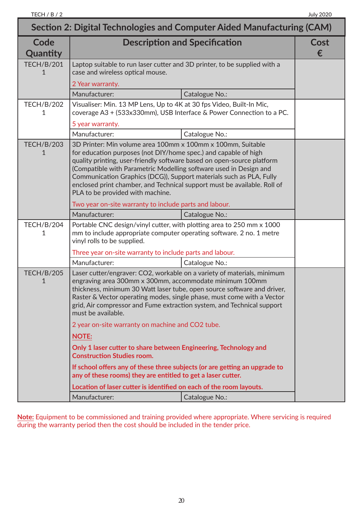| Section 2: Digital Technologies and Computer Aided Manufacturing (CAM) |                                                                                                                                                                                                                                                                                                                                                                                                                                                                      |                                                                      |           |
|------------------------------------------------------------------------|----------------------------------------------------------------------------------------------------------------------------------------------------------------------------------------------------------------------------------------------------------------------------------------------------------------------------------------------------------------------------------------------------------------------------------------------------------------------|----------------------------------------------------------------------|-----------|
| Code<br>Quantity                                                       |                                                                                                                                                                                                                                                                                                                                                                                                                                                                      | <b>Description and Specification</b>                                 | Cost<br>€ |
| <b>TECH/B/201</b><br>1                                                 | Laptop suitable to run laser cutter and 3D printer, to be supplied with a<br>case and wireless optical mouse.                                                                                                                                                                                                                                                                                                                                                        |                                                                      |           |
|                                                                        | 2 Year warranty.                                                                                                                                                                                                                                                                                                                                                                                                                                                     |                                                                      |           |
|                                                                        | Manufacturer:                                                                                                                                                                                                                                                                                                                                                                                                                                                        | Catalogue No.:                                                       |           |
| <b>TECH/B/202</b><br>1                                                 | Visualiser: Min. 13 MP Lens, Up to 4K at 30 fps Video, Built-In Mic,                                                                                                                                                                                                                                                                                                                                                                                                 | coverage A3 + (533x330mm), USB Interface & Power Connection to a PC. |           |
|                                                                        | 5 year warranty.                                                                                                                                                                                                                                                                                                                                                                                                                                                     |                                                                      |           |
|                                                                        | Manufacturer:                                                                                                                                                                                                                                                                                                                                                                                                                                                        | Catalogue No.:                                                       |           |
| <b>TECH/B/203</b><br>1                                                 | 3D Printer: Min volume area 100mm x 100mm x 100mm, Suitable<br>for education purposes (not DIY/home spec.) and capable of high<br>quality printing, user-friendly software based on open-source platform<br>(Compatible with Parametric Modelling software used in Design and<br>Communication Graphics (DCG)), Support materials such as PLA, Fully<br>enclosed print chamber, and Technical support must be available. Roll of<br>PLA to be provided with machine. |                                                                      |           |
|                                                                        | Two year on-site warranty to include parts and labour.                                                                                                                                                                                                                                                                                                                                                                                                               |                                                                      |           |
|                                                                        | Manufacturer:                                                                                                                                                                                                                                                                                                                                                                                                                                                        | Catalogue No.:                                                       |           |
| <b>TECH/B/204</b><br>1                                                 | Portable CNC design/vinyl cutter, with plotting area to 250 mm x 1000<br>mm to include appropriate computer operating software. 2 no. 1 metre<br>vinyl rolls to be supplied.                                                                                                                                                                                                                                                                                         |                                                                      |           |
|                                                                        | Three year on-site warranty to include parts and labour.<br>Manufacturer:                                                                                                                                                                                                                                                                                                                                                                                            | Catalogue No.:                                                       |           |
| <b>TECH/B/205</b><br>1                                                 | Laser cutter/engraver: CO2, workable on a variety of materials, minimum<br>engraving area 300mm x 300mm, accommodate minimum 100mm<br>thickness, minimum 30 Watt laser tube, open source software and driver,<br>Raster & Vector operating modes, single phase, must come with a Vector<br>grid, Air compressor and Fume extraction system, and Technical support<br>must be available.                                                                              |                                                                      |           |
|                                                                        | 2 year on-site warranty on machine and CO2 tube.                                                                                                                                                                                                                                                                                                                                                                                                                     |                                                                      |           |
|                                                                        | <b>NOTE:</b><br>Only 1 laser cutter to share between Engineering, Technology and<br><b>Construction Studies room.</b>                                                                                                                                                                                                                                                                                                                                                |                                                                      |           |
|                                                                        |                                                                                                                                                                                                                                                                                                                                                                                                                                                                      |                                                                      |           |
|                                                                        | If school offers any of these three subjects (or are getting an upgrade to<br>any of these rooms) they are entitled to get a laser cutter.                                                                                                                                                                                                                                                                                                                           |                                                                      |           |
|                                                                        | Location of laser cutter is identified on each of the room layouts.                                                                                                                                                                                                                                                                                                                                                                                                  |                                                                      |           |
|                                                                        | Manufacturer:                                                                                                                                                                                                                                                                                                                                                                                                                                                        | Catalogue No.:                                                       |           |

**Note:** Equipment to be commissioned and training provided where appropriate. Where servicing is required during the warranty period then the cost should be included in the tender price.